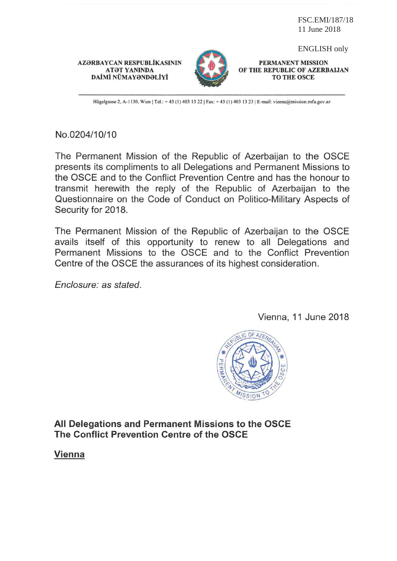FSC.EMI/187/18 11 June 2018

### AZƏRBAYCAN RESPUBLİKASININ **ATƏT YANINDA** DAİMİ NÜMAYƏNDƏLİYİ



ENGLISH only

PERMANENT MISSION OF THE REPUBLIC OF AZERBAIJAN **TO THE OSCE** 

Hügelgasse 2, A-1130, Wien | Tel.: +43 (1) 403 13 22 | Fax: +43 (1) 403 13 23 | E-mail: vienna@mission.mfa.gov.az

# No.0204/10/10

The Permanent Mission of the Republic of Azerbaijan to the OSCE presents its compliments to all Delegations and Permanent Missions to the OSCE and to the Conflict Prevention Centre and has the honour to transmit herewith the reply of the Republic of Azerbaijan to the Questionnaire on the Code of Conduct on Politico-Military Aspects of Security for 2018.

The Permanent Mission of the Republic of Azerbaijan to the OSCE avails itself of this opportunity to renew to all Delegations and Permanent Missions to the OSCE and to the Conflict Prevention Centre of the OSCE the assurances of its highest consideration.

Enclosure: as stated.

Vienna, 11 June 2018



All Delegations and Permanent Missions to the OSCE The Conflict Prevention Centre of the OSCE

**Vienna**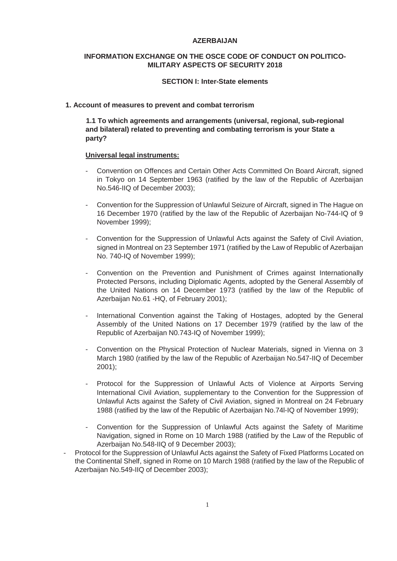### **AZERBAIJAN**

## **INFORMATION EXCHANGE ON THE OSCE CODE OF CONDUCT ON POLITICO-MILITARY ASPECTS OF SECURITY 2018**

### **SECTION I: Inter-State elements**

### **1. Account of measures to prevent and combat terrorism**

**1.1 To which agreements and arrangements (universal, regional, sub-regional and bilateral) related to preventing and combating terrorism is your State a party?**

### **Universal legal instruments:**

- Convention on Offences and Certain Other Acts Committed On Board Aircraft, signed in Tokyo on 14 September 1963 (ratified by the law of the Republic of Azerbaijan No.546-IIQ of December 2003);
- Convention for the Suppression of Unlawful Seizure of Aircraft, signed in The Hague on 16 December 1970 (ratified by the law of the Republic of Azerbaijan No-744-IQ of 9 November 1999);
- Convention for the Suppression of Unlawful Acts against the Safety of Civil Aviation, signed in Montreal on 23 September 1971 (ratified by the Law of Republic of Azerbaijan No. 740-IQ of November 1999);
- Convention on the Prevention and Punishment of Crimes against Internationally Protected Persons, including Diplomatic Agents, adopted by the General Assembly of the United Nations on 14 December 1973 (ratified by the law of the Republic of Azerbaijan No.61 - HQ, of February 2001):
- International Convention against the Taking of Hostages, adopted by the General Assembly of the United Nations on 17 December 1979 (ratified by the law of the Republic of Azerbaijan N0.743-IQ of November 1999);
- Convention on the Physical Protection of Nuclear Materials, signed in Vienna on 3 March 1980 (ratified by the law of the Republic of Azerbaijan No.547-IIQ of December 2001);
- Protocol for the Suppression of Unlawful Acts of Violence at Airports Serving International Civil Aviation, supplementary to the Convention for the Suppression of Unlawful Acts against the Safety of Civil Aviation, signed in Montreal on 24 February 1988 (ratified by the law of the Republic of Azerbaijan No.74l-IQ of November 1999);
- Convention for the Suppression of Unlawful Acts against the Safety of Maritime Navigation, signed in Rome on 10 March 1988 (ratified by the Law of the Republic of Azerbaijan No.548-IIQ of 9 December 2003):
- Protocol for the Suppression of Unlawful Acts against the Safety of Fixed Platforms Located on the Continental Shelf, signed in Rome on 10 March 1988 (ratified by the law of the Republic of Azerbaijan No.549-IIQ of December 2003);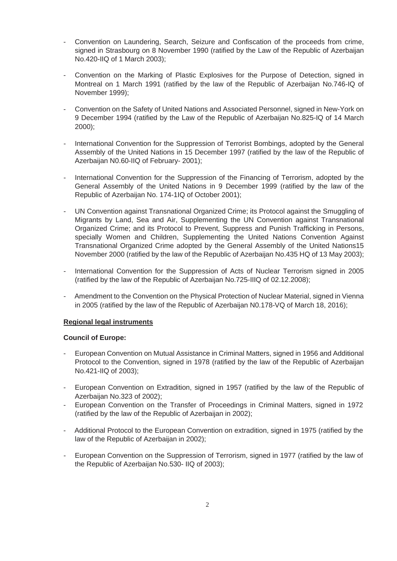- Convention on Laundering, Search, Seizure and Confiscation of the proceeds from crime, signed in Strasbourg on 8 November 1990 (ratified by the Law of the Republic of Azerbaijan No.420-IIQ of 1 March 2003);
- Convention on the Marking of Plastic Explosives for the Purpose of Detection, signed in Montreal on 1 March 1991 (ratified by the law of the Republic of Azerbaijan No.746-IQ of November 1999);
- Convention on the Safety of United Nations and Associated Personnel, signed in New-York on 9 December 1994 (ratified by the Law of the Republic of Azerbaijan No.825-IQ of 14 March 2000);
- International Convention for the Suppression of Terrorist Bombings, adopted by the General Assembly of the United Nations in 15 December 1997 (ratified by the law of the Republic of Azerbaijan N0.60-IIQ of February- 2001);
- International Convention for the Suppression of the Financing of Terrorism, adopted by the General Assembly of the United Nations in 9 December 1999 (ratified by the law of the Republic of Azerbaijan No. 174-1IQ of October 2001);
- UN Convention against Transnational Organized Crime; its Protocol against the Smuggling of Migrants by Land, Sea and Air, Supplementing the UN Convention against Transnational Organized Crime; and its Protocol to Prevent, Suppress and Punish Trafficking in Persons, specially Women and Children, Supplementing the United Nations Convention Against Transnational Organized Crime adopted by the General Assembly of the United Nations15 November 2000 (ratified by the law of the Republic of Azerbaijan No.435 HQ of 13 May 2003);
- International Convention for the Suppression of Acts of Nuclear Terrorism signed in 2005 (ratified by the law of the Republic of Azerbaijan No.725-IIIQ of 02.12.2008);
- Amendment to the Convention on the Physical Protection of Nuclear Material, signed in Vienna in 2005 (ratified by the law of the Republic of Azerbaijan N0.178-VQ of March 18, 2016);

## **Regional legal instruments**

## **Council of Europe:**

- European Convention on Mutual Assistance in Criminal Matters, signed in 1956 and Additional Protocol to the Convention, signed in 1978 (ratified by the law of the Republic of Azerbaijan No.421-IIQ of 2003);
- European Convention on Extradition, signed in 1957 (ratified by the law of the Republic of Azerbaijan No.323 of 2002);
- European Convention on the Transfer of Proceedings in Criminal Matters, signed in 1972 (ratified by the law of the Republic of Azerbaijan in 2002);
- Additional Protocol to the European Convention on extradition, signed in 1975 (ratified by the law of the Republic of Azerbaijan in 2002);
- European Convention on the Suppression of Terrorism, signed in 1977 (ratified by the law of the Republic of Azerbaijan No.530- IIQ of 2003):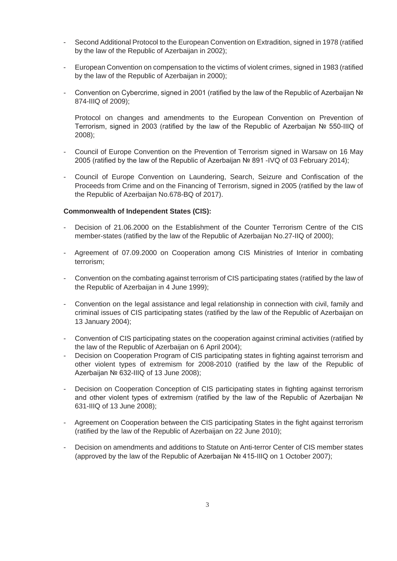- Second Additional Protocol to the European Convention on Extradition, signed in 1978 (ratified by the law of the Republic of Azerbaijan in 2002):
- European Convention on compensation to the victims of violent crimes, signed in 1983 (ratified by the law of the Republic of Azerbaijan in 2000);
- Convention on Cybercrime, signed in 2001 (ratified by the law of the Republic of Azerbaijan  $N_e$ 874-IIIQ of 2009);

Protocol on changes and amendments to the European Convention on Prevention of Terrorism, signed in 2003 (ratified by the law of the Republic of Azerbaijan № 550-IIIQ of 2008);

- Council of Europe Convention on the Prevention of Terrorism signed in Warsaw on 16 May 2005 (ratified by the law of the Republic of Azerbaijan  $N<sub>2</sub>$  891 -IVQ of 03 February 2014);
- Council of Europe Convention on Laundering, Search, Seizure and Confiscation of the Proceeds from Crime and on the Financing of Terrorism, signed in 2005 (ratified by the law of the Republic of Azerbaijan No.678-BQ of 2017).

## **Commonwealth of Independent States (CIS):**

- Decision of 21.06.2000 on the Establishment of the Counter Terrorism Centre of the CIS member-states (ratified by the law of the Republic of Azerbaijan No.27-IIQ of 2000);
- Agreement of 07.09.2000 on Cooperation among CIS Ministries of Interior in combating terrorism;
- Convention on the combating against terrorism of CIS participating states (ratified by the law of the Republic of Azerbaijan in 4 June 1999);
- Convention on the legal assistance and legal relationship in connection with civil, family and criminal issues of CIS participating states (ratified by the law of the Republic of Azerbaijan on 13 January 2004);
- Convention of CIS participating states on the cooperation against criminal activities (ratified by the law of the Republic of Azerbaijan on 6 April 2004);
- Decision on Cooperation Program of CIS participating states in fighting against terrorism and other violent types of extremism for 2008-2010 (ratified by the law of the Republic of Azerbaijan № 632-IIIQ of 13 June 2008);
- Decision on Cooperation Conception of CIS participating states in fighting against terrorism and other violent types of extremism (ratified by the law of the Republic of Azerbaijan  $N<sub>e</sub>$ 631-IIIQ of 13 June 2008);
- Agreement on Cooperation between the CIS participating States in the fight against terrorism (ratified by the law of the Republic of Azerbaijan on 22 June 2010);
- Decision on amendments and additions to Statute on Anti-terror Center of CIS member states (approved by the law of the Republic of Azerbaijan  $N<sub>2</sub>$  415-IIIQ on 1 October 2007);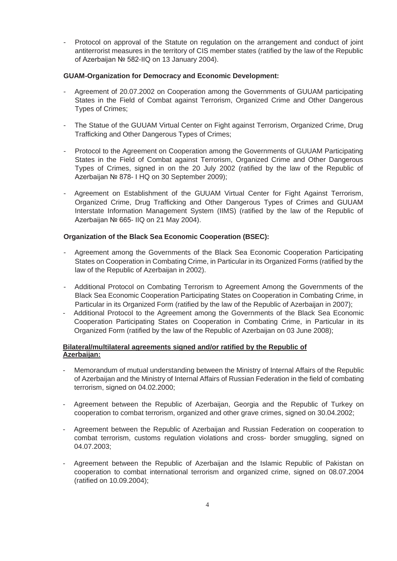Protocol on approval of the Statute on regulation on the arrangement and conduct of joint antiterrorist measures in the territory of CIS member states (ratified by the law of the Republic of Azerbaijan Nº 582-IIQ on 13 January 2004).

## **GUAM-Organization for Democracy and Economic Development:**

- Agreement of 20.07.2002 on Cooperation among the Governments of GUUAM participating States in the Field of Combat against Terrorism, Organized Crime and Other Dangerous Types of Crimes;
- The Statue of the GUUAM Virtual Center on Fight against Terrorism, Organized Crime, Drug Trafficking and Other Dangerous Types of Crimes;
- Protocol to the Agreement on Cooperation among the Governments of GUUAM Participating States in the Field of Combat against Terrorism, Organized Crime and Other Dangerous Types of Crimes, signed in on the 20 July 2002 (ratified by the law of the Republic of Azerbaijan № 878- I HQ on 30 September 2009);
- Agreement on Establishment of the GUUAM Virtual Center for Fight Against Terrorism, Organized Crime, Drug Trafficking and Other Dangerous Types of Crimes and GUUAM Interstate Information Management System (IIMS) (ratified by the law of the Republic of Azerbaijan № 665- IIQ on 21 May 2004).

## **Organization of the Black Sea Economic Cooperation (BSEC):**

- Agreement among the Governments of the Black Sea Economic Cooperation Participating States on Cooperation in Combating Crime, in Particular in its Organized Forms (ratified by the law of the Republic of Azerbaijan in 2002).
- Additional Protocol on Combating Terrorism to Agreement Among the Governments of the Black Sea Economic Cooperation Participating States on Cooperation in Combating Crime, in Particular in its Organized Form (ratified by the law of the Republic of Azerbaijan in 2007);
- Additional Protocol to the Agreement among the Governments of the Black Sea Economic Cooperation Participating States on Cooperation in Combating Crime, in Particular in its Organized Form (ratified by the law of the Republic of Azerbaijan on 03 June 2008);

## **Bilateral/multilateral agreements signed and/or ratified by the Republic of Azerbaijan:**

- Memorandum of mutual understanding between the Ministry of Internal Affairs of the Republic of Azerbaijan and the Ministry of Internal Affairs of Russian Federation in the field of combating terrorism, signed on 04.02.2000;
- Agreement between the Republic of Azerbaijan, Georgia and the Republic of Turkey on cooperation to combat terrorism, organized and other grave crimes, signed on 30.04.2002;
- Agreement between the Republic of Azerbaijan and Russian Federation on cooperation to combat terrorism, customs regulation violations and cross- border smuggling, signed on 04.07.2003;
- Agreement between the Republic of Azerbaijan and the Islamic Republic of Pakistan on cooperation to combat international terrorism and organized crime, signed on 08.07.2004 (ratified on 10.09.2004);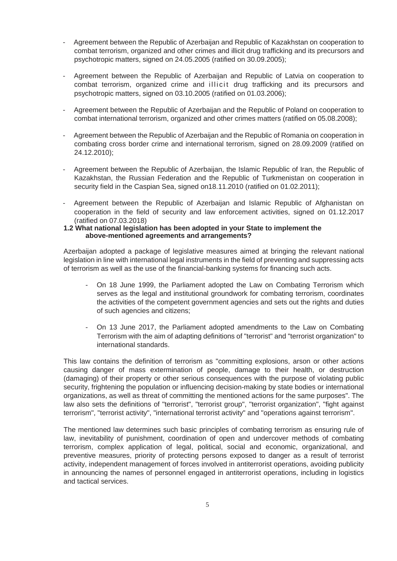- Agreement between the Republic of Azerbaijan and Republic of Kazakhstan on cooperation to combat terrorism, organized and other crimes and illicit drug trafficking and its precursors and psychotropic matters, signed on 24.05.2005 (ratified on 30.09.2005);
- Agreement between the Republic of Azerbaijan and Republic of Latvia on cooperation to combat terrorism, organized crime and illicit drug trafficking and its precursors and psychotropic matters, signed on 03.10.2005 (ratified on 01.03.2006);
- Agreement between the Republic of Azerbaijan and the Republic of Poland on cooperation to combat international terrorism, organized and other crimes matters (ratified on 05.08.2008);
- Agreement between the Republic of Azerbaijan and the Republic of Romania on cooperation in combating cross border crime and international terrorism, signed on 28.09.2009 (ratified on 24.12.2010);
- Agreement between the Republic of Azerbaijan, the Islamic Republic of Iran, the Republic of Kazakhstan, the Russian Federation and the Republic of Turkmenistan on cooperation in security field in the Caspian Sea, signed on18.11.2010 (ratified on 01.02.2011);
- Agreement between the Republic of Azerbaijan and Islamic Republic of Afghanistan on cooperation in the field of security and law enforcement activities, signed on 01.12.2017 (ratified on 07.03.2018)

### **1.2 What national legislation has been adopted in your State to implement the above-mentioned agreements and arrangements?**

Azerbaijan adopted a package of legislative measures aimed at bringing the relevant national legislation in line with international legal instruments in the field of preventing and suppressing acts of terrorism as well as the use of the financial-banking systems for financing such acts.

- On 18 June 1999, the Parliament adopted the Law on Combating Terrorism which serves as the legal and institutional groundwork for combating terrorism, coordinates the activities of the competent government agencies and sets out the rights and duties of such agencies and citizens;
- On 13 June 2017, the Parliament adopted amendments to the Law on Combating Terrorism with the aim of adapting definitions of "terrorist" and "terrorist organization" to international standards.

This law contains the definition of terrorism as "committing explosions, arson or other actions causing danger of mass extermination of people, damage to their health, or destruction (damaging) of their property or other serious consequences with the purpose of violating public security, frightening the population or influencing decision-making by state bodies or international organizations, as well as threat of committing the mentioned actions for the same purposes". The law also sets the definitions of "terrorist", "terrorist group", "terrorist organization", "fight against terrorism", "terrorist activity", "international terrorist activity" and "operations against terrorism".

The mentioned law determines such basic principles of combating terrorism as ensuring rule of law, inevitability of punishment, coordination of open and undercover methods of combating terrorism, complex application of legal, political, social and economic, organizational, and preventive measures, priority of protecting persons exposed to danger as a result of terrorist activity, independent management of forces involved in antiterrorist operations, avoiding publicity in announcing the names of personnel engaged in antiterrorist operations, including in logistics and tactical services.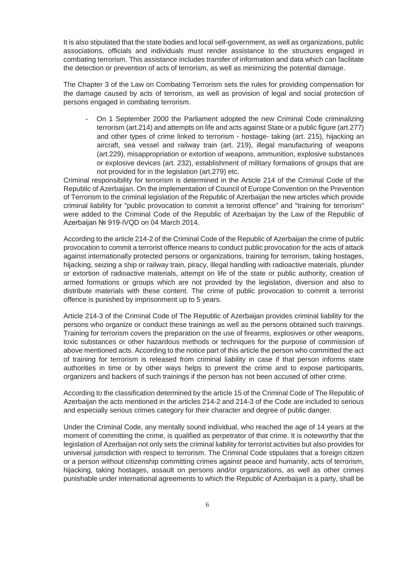It is also stipulated that the state bodies and local self-government, as well as organizations, public associations, officials and individuals must render assistance to the structures engaged in combating terrorism. This assistance includes transfer of information and data which can facilitate the detection or prevention of acts of terrorism, as well as minimizing the potential damage.

The Chapter 3 of the Law on Combating Terrorism sets the rules for providing compensation for the damage caused by acts of terrorism, as well as provision of legal and social protection of persons engaged in combating terrorism.

- On 1 September 2000 the Parliament adopted the new Criminal Code criminalizing terrorism (art.214) and attempts on life and acts against State or a public figure (art.277) and other types of crime linked to terrorism - hostage- taking (art. 215), hijacking an aircraft, sea vessel and railway train (art. 219), illegal manufacturing of weapons (art.229), misappropriation or extortion of weapons, ammunition, explosive substances or explosive devices (art. 232), establishment of military formations of groups that are not provided for in the legislation (art.279) etc.

Criminal responsibility for terrorism is determined in the Article 214 of the Criminal Code of the Republic of Azerbaijan. On the implementation of Council of Europe Convention on the Prevention of Terrorism to the criminal legislation of the Republic of Azerbaijan the new articles which provide criminal liability for "public provocation to commit a terrorist offence" and "training for terrorism" were added to the Criminal Code of the Republic of Azerbaijan by the Law of the Republic of Azerbaijan № 919-IVQD on 04 March 2014.

According to the article 214-2 of the Criminal Code of the Republic of Azerbaijan the crime of public provocation to commit a terrorist offence means to conduct public provocation for the acts of attack against internationally protected persons or organizations, training for terrorism, taking hostages, hijacking, seizing a ship or railway train, piracy, illegal handling with radioactive materials, plunder or extortion of radioactive materials, attempt on life of the state or public authority, creation of armed formations or groups which are not provided by the legislation, diversion and also to distribute materials with these content. The crime of public provocation to commit a terrorist offence is punished by imprisonment up to 5 years.

Article 214-3 of the Criminal Code of The Republic of Azerbaijan provides criminal liability for the persons who organize or conduct these trainings as well as the persons obtained such trainings. Training for terrorism covers the preparation on the use of firearms, explosives or other weapons, toxic substances or other hazardous methods or techniques for the purpose of commission of above mentioned acts. According to the notice part of this article the person who committed the act of training for terrorism is released from criminal liability in case if that person informs state authorities in time or by other ways helps to prevent the crime and to expose participants, organizers and backers of such trainings if the person has not been accused of other crime.

According to the classification determined by the article 15 of the Criminal Code of The Republic of Azerbaijan the acts mentioned in the articles 214-2 and 214-3 of the Code are included to serious and especially serious crimes category for their character and degree of public danger.

Under the Criminal Code, any mentally sound individual, who reached the age of 14 years at the moment of committing the crime, is qualified as perpetrator of that crime. It is noteworthy that the legislation of Azerbaijan not only sets the criminal liability for terrorist activities but also provides for universal jurisdiction with respect to terrorism. The Criminal Code stipulates that a foreign citizen or a person without citizenship committing crimes against peace and humanity, acts of terrorism, hijacking, taking hostages, assault on persons and/or organizations, as well as other crimes punishable under international agreements to which the Republic of Azerbaijan is a party, shall be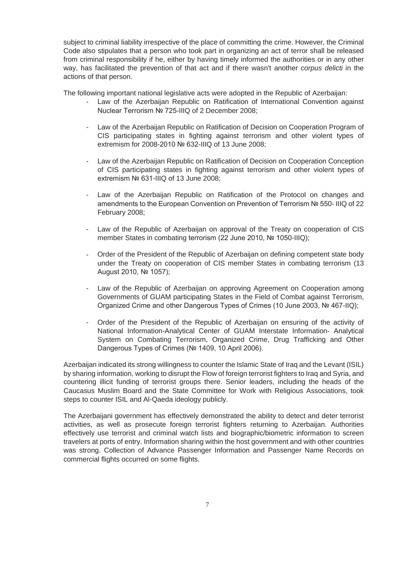subject to criminal liability irrespective of the place of committing the crime. However, the Criminal Code also stipulates that a person who took part in organizing an act of terror shall be released from criminal responsibility if he, either by having timely informed the authorities or in any other way, has facilitated the prevention of that act and if there wasn't another *corpus delicti* in the actions of that person.

The following important national legislative acts were adopted in the Republic of Azerbaijan:

- Law of the Azerbaijan Republic on Ratification of International Convention against Nuclear Terrorism № 725-IIIQ of 2 December 2008;
- Law of the Azerbaijan Republic on Ratification of Decision on Cooperation Program of CIS participating states in fighting against terrorism and other violent types of extremism for 2008-2010  $N<sub>2</sub>$  632-IIIQ of 13 June 2008:
- Law of the Azerbaijan Republic on Ratification of Decision on Cooperation Conception of CIS participating states in fighting against terrorism and other violent types of extremism Nº 631-IIIQ of 13 June 2008;
- Law of the Azerbaijan Republic on Ratification of the Protocol on changes and amendments to the European Convention on Prevention of Terrorism № 550- IIIQ of 22 February 2008;
- Law of the Republic of Azerbaijan on approval of the Treaty on cooperation of CIS member States in combating terrorism (22 June 2010, № 1050-IIIQ);
- Order of the President of the Republic of Azerbaijan on defining competent state body under the Treaty on cooperation of CIS member States in combating terrorism (13 August 2010, № 1057);
- Law of the Republic of Azerbaijan on approving Agreement on Cooperation among Governments of GUAM participating States in the Field of Combat against Terrorism, Organized Crime and other Dangerous Types of Crimes (10 June 2003, № 467-IIQ);
- Order of the President of the Republic of Azerbaijan on ensuring of the activity of National Information-Analytical Center of GUAM Interstate Information- Analytical System on Combating Terrorism, Organized Crime, Drug Trafficking and Other Dangerous Types of Crimes (Nº 1409, 10 April 2006).

Azerbaijan indicated its strong willingness to counter the Islamic State of Iraq and the Levant (ISIL) by sharing information, working to disrupt the Flow of foreign terrorist fighters to Iraq and Syria, and countering illicit funding of terrorist groups there. Senior leaders, including the heads of the Caucasus Muslim Board and the State Committee for Work with Religious Associations, took steps to counter ISIL and Al-Qaeda ideology publicly.

The Azerbaijani government has effectively demonstrated the ability to detect and deter terrorist activities, as well as prosecute foreign terrorist fighters returning to Azerbaijan. Authorities effectively use terrorist and criminal watch lists and biographic/biometric information to screen travelers at ports of entry. Information sharing within the host government and with other countries was strong. Collection of Advance Passenger Information and Passenger Name Records on commercial flights occurred on some flights.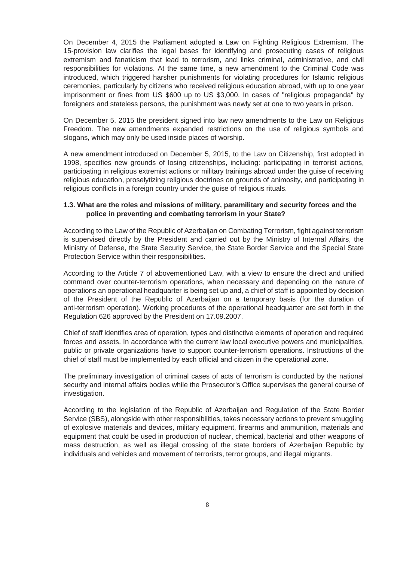On December 4, 2015 the Parliament adopted a Law on Fighting Religious Extremism. The 15-provision law clarifies the legal bases for identifying and prosecuting cases of religious extremism and fanaticism that lead to terrorism, and links criminal, administrative, and civil responsibilities for violations. At the same time, a new amendment to the Criminal Code was introduced, which triggered harsher punishments for violating procedures for Islamic religious ceremonies, particularly by citizens who received religious education abroad, with up to one year imprisonment or fines from US \$600 up to US \$3,000. In cases of "religious propaganda" by foreigners and stateless persons, the punishment was newly set at one to two years in prison.

On December 5, 2015 the president signed into law new amendments to the Law on Religious Freedom. The new amendments expanded restrictions on the use of religious symbols and slogans, which may only be used inside places of worship.

A new amendment introduced on December 5, 2015, to the Law on Citizenship, first adopted in 1998, specifies new grounds of losing citizenships, including: participating in terrorist actions, participating in religious extremist actions or military trainings abroad under the guise of receiving religious education, proselytizing religious doctrines on grounds of animosity, and participating in religious conflicts in a foreign country under the guise of religious rituals.

## **1.3. What are the roles and missions of military, paramilitary and security forces and the police in preventing and combating terrorism in your State?**

According to the Law of the Republic of Azerbaijan on Combating Terrorism, fight against terrorism is supervised directly by the President and carried out by the Ministry of Internal Affairs, the Ministry of Defense, the State Security Service, the State Border Service and the Special State Protection Service within their responsibilities.

According to the Article 7 of abovementioned Law, with a view to ensure the direct and unified command over counter-terrorism operations, when necessary and depending on the nature of operations an operational headquarter is being set up and, a chief of staff is appointed by decision of the President of the Republic of Azerbaijan on a temporary basis (for the duration of anti-terrorism operation). Working procedures of the operational headquarter are set forth in the Regulation 626 approved by the President on 17.09.2007.

Chief of staff identifies area of operation, types and distinctive elements of operation and required forces and assets. In accordance with the current law local executive powers and municipalities, public or private organizations have to support counter-terrorism operations. Instructions of the chief of staff must be implemented by each official and citizen in the operational zone.

The preliminary investigation of criminal cases of acts of terrorism is conducted by the national security and internal affairs bodies while the Prosecutor's Office supervises the general course of investigation.

According to the legislation of the Republic of Azerbaijan and Regulation of the State Border Service (SBS), alongside with other responsibilities, takes necessary actions to prevent smuggling of explosive materials and devices, military equipment, firearms and ammunition, materials and equipment that could be used in production of nuclear, chemical, bacterial and other weapons of mass destruction, as well as illegal crossing of the state borders of Azerbaijan Republic by individuals and vehicles and movement of terrorists, terror groups, and illegal migrants.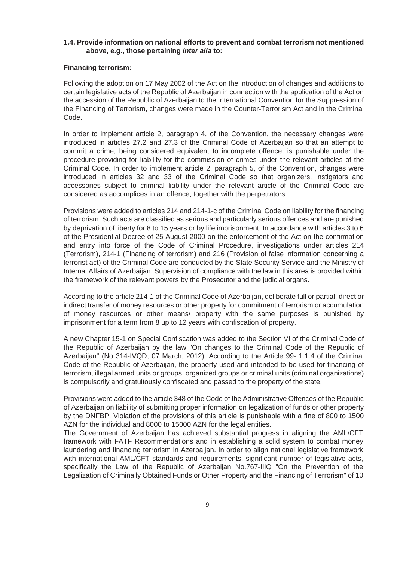### **1.4. Provide information on national efforts to prevent and combat terrorism not mentioned above, e.g., those pertaining** *inter alia* **to:**

### **Financing terrorism:**

Following the adoption on 17 May 2002 of the Act on the introduction of changes and additions to certain legislative acts of the Republic of Azerbaijan in connection with the application of the Act on the accession of the Republic of Azerbaijan to the International Convention for the Suppression of the Financing of Terrorism, changes were made in the Counter-Terrorism Act and in the Criminal Code.

In order to implement article 2, paragraph 4, of the Convention, the necessary changes were introduced in articles 27.2 and 27.3 of the Criminal Code of Azerbaijan so that an attempt to commit a crime, being considered equivalent to incomplete offence, is punishable under the procedure providing for liability for the commission of crimes under the relevant articles of the Criminal Code. In order to implement article 2, paragraph 5, of the Convention, changes were introduced in articles 32 and 33 of the Criminal Code so that organizers, instigators and accessories subject to criminal liability under the relevant article of the Criminal Code are considered as accomplices in an offence, together with the perpetrators.

Provisions were added to articles 214 and 214-1-c of the Criminal Code on liability for the financing of terrorism. Such acts are classified as serious and particularly serious offences and are punished by deprivation of liberty for 8 to 15 years or by life imprisonment. In accordance with articles 3 to 6 of the Presidential Decree of 25 August 2000 on the enforcement of the Act on the confirmation and entry into force of the Code of Criminal Procedure, investigations under articles 214 (Terrorism), 214-1 (Financing of terrorism) and 216 (Provision of false information concerning a terrorist act) of the Criminal Code are conducted by the State Security Service and the Ministry of Internal Affairs of Azerbaijan. Supervision of compliance with the law in this area is provided within the framework of the relevant powers by the Prosecutor and the judicial organs.

According to the article 214-1 of the Criminal Code of Azerbaijan, deliberate full or partial, direct or indirect transfer of money resources or other property for commitment of terrorism or accumulation of money resources or other means/ property with the same purposes is punished by imprisonment for a term from 8 up to 12 years with confiscation of property.

A new Chapter 15-1 on Special Confiscation was added to the Section VI of the Criminal Code of the Republic of Azerbaijan by the law "On changes to the Criminal Code of the Republic of Azerbaijan" (No 314-IVQD, 07 March, 2012). According to the Article 99- 1.1.4 of the Criminal Code of the Republic of Azerbaijan, the property used and intended to be used for financing of terrorism, illegal armed units or groups, organized groups or criminal units (criminal organizations) is compulsorily and gratuitously confiscated and passed to the property of the state.

Provisions were added to the article 348 of the Code of the Administrative Offences of the Republic of Azerbaijan on liability of submitting proper information on legalization of funds or other property by the DNFBP. Violation of the provisions of this article is punishable with a fine of 800 to 1500 AZN for the individual and 8000 to 15000 AZN for the legal entities.

The Government of Azerbaijan has achieved substantial progress in aligning the AML/CFT framework with FATF Recommendations and in establishing a solid system to combat money laundering and financing terrorism in Azerbaijan. In order to align national legislative framework with international AML/CFT standards and requirements, significant number of legislative acts, specifically the Law of the Republic of Azerbaijan No.767-IIIQ "On the Prevention of the Legalization of Criminally Obtained Funds or Other Property and the Financing of Terrorism" of 10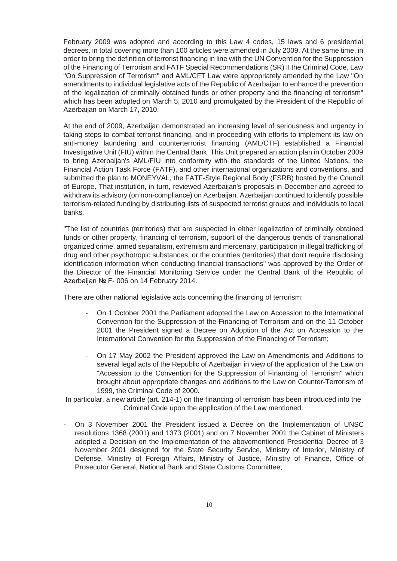February 2009 was adopted and according to this Law 4 codes, 15 laws and 6 presidential decrees, in total covering more than 100 articles were amended in July 2009. At the same time, in order to bring the definition of terrorist financing in line with the UN Convention for the Suppression of the Financing of Terrorism and FATF Special Recommendations (SR) II the Criminal Code, Law "On Suppression of Terrorism" and AML/CFT Law were appropriately amended by the Law "On amendments to individual legislative acts of the Republic of Azerbaijan to enhance the prevention of the legalization of criminally obtained funds or other property and the financing of terrorism" which has been adopted on March 5, 2010 and promulgated by the President of the Republic of Azerbaijan on March 17, 2010.

At the end of 2009, Azerbaijan demonstrated an increasing level of seriousness and urgency in taking steps to combat terrorist financing, and in proceeding with efforts to implement its law on anti-money laundering and counterterrorist financing (AML/CTF) established a Financial Investigative Unit (FIU) within the Central Bank. This Unit prepared an action plan in October 2009 to bring Azerbaijan's AML/FIU into conformity with the standards of the United Nations, the Financial Action Task Force (FATF), and other international organizations and conventions, and submitted the plan to MONEYVAL, the FATF-Style Regional Body (FSRB) hosted by the Council of Europe. That institution, in turn, reviewed Azerbaijan's proposals in December and agreed to withdraw its advisory (on non-compliance) on Azerbaijan. Azerbaijan continued to identify possible terrorism-related funding by distributing lists of suspected terrorist groups and individuals to local banks.

"The list of countries (territories) that are suspected in either legalization of criminally obtained funds or other property, financing of terrorism, support of the dangerous trends of transnational organized crime, armed separatism, extremism and mercenary, participation in illegal trafficking of drug and other psychotropic substances, or the countries (territories) that don't require disclosing identification information when conducting financial transactions" was approved by the Order of the Director of the Financial Monitoring Service under the Central Bank of the Republic of Azerbaijan № F- 006 on 14 February 2014.

There are other national legislative acts concerning the financing of terrorism:

- On 1 October 2001 the Parliament adopted the Law on Accession to the International Convention for the Suppression of the Financing of Terrorism and on the 11 October 2001 the President signed a Decree on Adoption of the Act on Accession to the International Convention for the Suppression of the Financing of Terrorism;
- On 17 May 2002 the President approved the Law on Amendments and Additions to several legal acts of the Republic of Azerbaijan in view of the application of the Law on "Accession to the Convention for the Suppression of Financing of Terrorism" which brought about appropriate changes and additions to the Law on Counter-Terrorism of 1999, the Criminal Code of 2000.

In particular, a new article (art. 214-1) on the financing of terrorism has been introduced into the Criminal Code upon the application of the Law mentioned.

- On 3 November 2001 the President issued a Decree on the Implementation of UNSC resolutions 1368 (2001) and 1373 (2001) and on 7 November 2001 the Cabinet of Ministers adopted a Decision on the Implementation of the abovementioned Presidential Decree of 3 November 2001 designed for the State Security Service, Ministry of Interior, Ministry of Defense, Ministry of Foreign Affairs, Ministry of Justice, Ministry of Finance, Office of Prosecutor General, National Bank and State Customs Committee;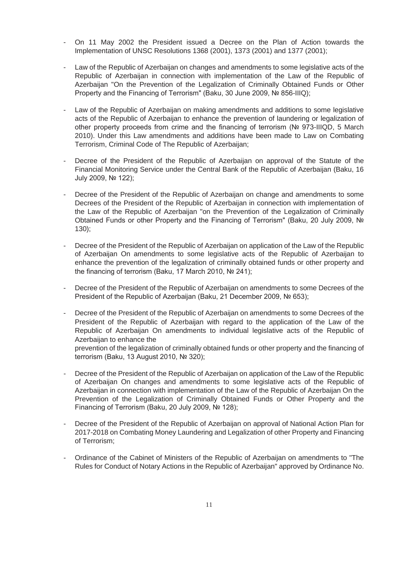- On 11 May 2002 the President issued a Decree on the Plan of Action towards the Implementation of UNSC Resolutions 1368 (2001), 1373 (2001) and 1377 (2001);
- Law of the Republic of Azerbaijan on changes and amendments to some legislative acts of the Republic of Azerbaijan in connection with implementation of the Law of the Republic of Azerbaijan "On the Prevention of the Legalization of Criminally Obtained Funds or Other Property and the Financing of Terrorism" (Baku, 30 June 2009, № 856-IIIQ);
- Law of the Republic of Azerbaijan on making amendments and additions to some legislative acts of the Republic of Azerbaijan to enhance the prevention of laundering or legalization of other property proceeds from crime and the financing of terrorism ( $N<sub>e</sub>$  973-IIIQD, 5 March 2010). Under this Law amendments and additions have been made to Law on Combating Terrorism, Criminal Code of The Republic of Azerbaijan;
- Decree of the President of the Republic of Azerbaijan on approval of the Statute of the Financial Monitoring Service under the Central Bank of the Republic of Azerbaijan (Baku, 16 July 2009, No 122);
- Decree of the President of the Republic of Azerbaijan on change and amendments to some Decrees of the President of the Republic of Azerbaijan in connection with implementation of the Law of the Republic of Azerbaijan "on the Prevention of the Legalization of Criminally Obtained Funds or other Property and the Financing of Terrorism" (Baku, 20 July 2009, № 130);
- Decree of the President of the Republic of Azerbaijan on application of the Law of the Republic of Azerbaijan On amendments to some legislative acts of the Republic of Azerbaijan to enhance the prevention of the legalization of criminally obtained funds or other property and the financing of terrorism (Baku, 17 March 2010, № 241);
- Decree of the President of the Republic of Azerbaijan on amendments to some Decrees of the President of the Republic of Azerbaijan (Baku, 21 December 2009, № 653);
- Decree of the President of the Republic of Azerbaijan on amendments to some Decrees of the President of the Republic of Azerbaijan with regard to the application of the Law of the Republic of Azerbaijan On amendments to individual legislative acts of the Republic of Azerbaijan to enhance the prevention of the legalization of criminally obtained funds or other property and the financing of

terrorism (Baku. 13 August 2010, № 320):

- Decree of the President of the Republic of Azerbaijan on application of the Law of the Republic of Azerbaijan On changes and amendments to some legislative acts of the Republic of Azerbaijan in connection with implementation of the Law of the Republic of Azerbaijan On the Prevention of the Legalization of Criminally Obtained Funds or Other Property and the Financing of Terrorism (Baku, 20 July 2009, № 128);
- Decree of the President of the Republic of Azerbaijan on approval of National Action Plan for 2017-2018 on Combating Money Laundering and Legalization of other Property and Financing of Terrorism;
- Ordinance of the Cabinet of Ministers of the Republic of Azerbaijan on amendments to "The Rules for Conduct of Notary Actions in the Republic of Azerbaijan" approved by Ordinance No.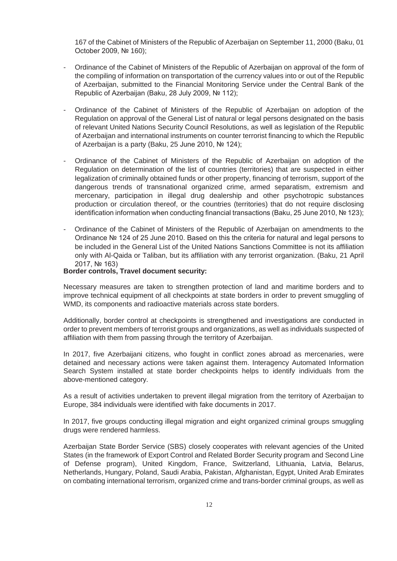167 of the Cabinet of Ministers of the Republic of Azerbaijan on September 11, 2000 (Baku, 01 October 2009,  $N<sub>2</sub>$  160):

- Ordinance of the Cabinet of Ministers of the Republic of Azerbaijan on approval of the form of the compiling of information on transportation of the currency values into or out of the Republic of Azerbaijan, submitted to the Financial Monitoring Service under the Central Bank of the Republic of Azerbaijan (Baku, 28 July 2009, № 112);
- Ordinance of the Cabinet of Ministers of the Republic of Azerbaijan on adoption of the Regulation on approval of the General List of natural or legal persons designated on the basis of relevant United Nations Security Council Resolutions, as well as legislation of the Republic of Azerbaijan and international instruments on counter terrorist financing to which the Republic of Azerbaijan is a party (Baku, 25 June 2010, № 124);
- Ordinance of the Cabinet of Ministers of the Republic of Azerbaijan on adoption of the Regulation on determination of the list of countries (territories) that are suspected in either legalization of criminally obtained funds or other property, financing of terrorism, support of the dangerous trends of transnational organized crime, armed separatism, extremism and mercenary, participation in illegal drug dealership and other psychotropic substances production or circulation thereof, or the countries (territories) that do not require disclosing identification information when conducting financial transactions (Baku, 25 June 2010,  $N\simeq$  123);
- Ordinance of the Cabinet of Ministers of the Republic of Azerbaijan on amendments to the Ordinance  $N_e$  124 of 25 June 2010. Based on this the criteria for natural and legal persons to be included in the General List of the United Nations Sanctions Committee is not its affiliation only with Al-Qaida or Taliban, but its affiliation with any terrorist organization. (Baku, 21 April 2017. No 163)

### **Border controls, Travel document security:**

Necessary measures are taken to strengthen protection of land and maritime borders and to improve technical equipment of all checkpoints at state borders in order to prevent smuggling of WMD, its components and radioactive materials across state borders.

Additionally, border control at checkpoints is strengthened and investigations are conducted in order to prevent members of terrorist groups and organizations, as well as individuals suspected of affiliation with them from passing through the territory of Azerbaijan.

In 2017, five Azerbaijani citizens, who fought in conflict zones abroad as mercenaries, were detained and necessary actions were taken against them. Interagency Automated Information Search System installed at state border checkpoints helps to identify individuals from the above-mentioned category.

As a result of activities undertaken to prevent illegal migration from the territory of Azerbaijan to Europe, 384 individuals were identified with fake documents in 2017.

In 2017, five groups conducting illegal migration and eight organized criminal groups smuggling drugs were rendered harmless.

Azerbaijan State Border Service (SBS) closely cooperates with relevant agencies of the United States (in the framework of Export Control and Related Border Security program and Second Line of Defense program), United Kingdom, France, Switzerland, Lithuania, Latvia, Belarus, Netherlands, Hungary, Poland, Saudi Arabia, Pakistan, Afghanistan, Egypt, United Arab Emirates on combating international terrorism, organized crime and trans-border criminal groups, as well as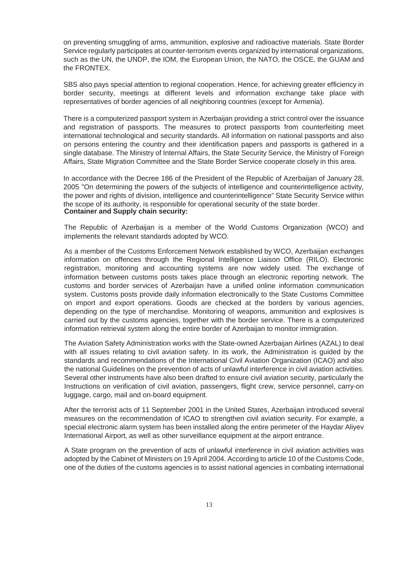on preventing smuggling of arms, ammunition, explosive and radioactive materials. State Border Service regularly participates at counter-terrorism events organized by international organizations, such as the UN, the UNDP, the IOM, the European Union, the NATO, the OSCE, the GUAM and the FRONTEX.

SBS also pays special attention to regional cooperation. Hence, for achieving greater efficiency in border security, meetings at different levels and information exchange take place with representatives of border agencies of all neighboring countries (except for Armenia).

There is a computerized passport system in Azerbaijan providing a strict control over the issuance and registration of passports. The measures to protect passports from counterfeiting meet international technological and security standards. All information on national passports and also on persons entering the country and their identification papers and passports is gathered in a single database. The Ministry of Internal Affairs, the State Security Service, the Ministry of Foreign Affairs, State Migration Committee and the State Border Service cooperate closely in this area.

In accordance with the Decree 186 of the President of the Republic of Azerbaijan of January 28, 2005 "On determining the powers of the subjects of intelligence and counterintelligence activity, the power and rights of division, intelligence and counterintelligence" State Security Service within the scope of its authority, is responsible for operational security of the state border. **Container and Supply chain security:**

The Republic of Azerbaijan is a member of the World Customs Organization (WCO) and implements the relevant standards adopted by WCO.

As a member of the Customs Enforcement Network established by WCO, Azerbaijan exchanges information on offences through the Regional Intelligence Liaison Office (RILO). Electronic registration, monitoring and accounting systems are now widely used. The exchange of information between customs posts takes place through an electronic reporting network. The customs and border services of Azerbaijan have a unified online information communication system. Customs posts provide daily information electronically to the State Customs Committee on import and export operations. Goods are checked at the borders by various agencies, depending on the type of merchandise. Monitoring of weapons, ammunition and explosives is carried out by the customs agencies, together with the border service. There is a computerized information retrieval system along the entire border of Azerbaijan to monitor immigration.

The Aviation Safety Administration works with the State-owned Azerbaijan Airlines (AZAL) to deal with all issues relating to civil aviation safety. In its work, the Administration is guided by the standards and recommendations of the International Civil Aviation Organization (ICAO) and also the national Guidelines on the prevention of acts of unlawful interference in civil aviation activities. Several other instruments have also been drafted to ensure civil aviation security, particularly the Instructions on verification of civil aviation, passengers, flight crew, service personnel, carry-on luggage, cargo, mail and on-board equipment.

After the terrorist acts of 11 September 2001 in the United States, Azerbaijan introduced several measures on the recommendation of ICAO to strengthen civil aviation security. For example, a special electronic alarm system has been installed along the entire perimeter of the Haydar Aliyev International Airport, as well as other surveillance equipment at the airport entrance.

A State program on the prevention of acts of unlawful interference in civil aviation activities was adopted by the Cabinet of Ministers on 19 April 2004. According to article 10 of the Customs Code, one of the duties of the customs agencies is to assist national agencies in combating international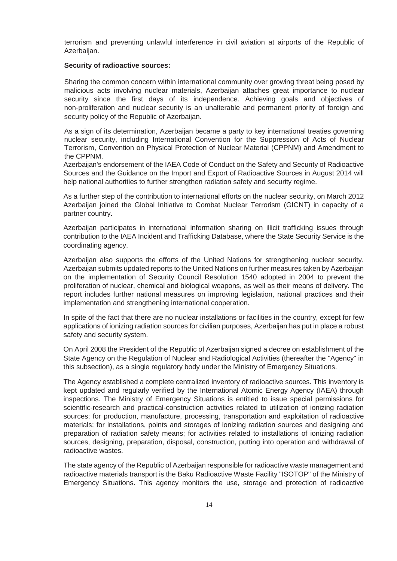terrorism and preventing unlawful interference in civil aviation at airports of the Republic of Azerbaijan.

### **Security of radioactive sources:**

Sharing the common concern within international community over growing threat being posed by malicious acts involving nuclear materials, Azerbaijan attaches great importance to nuclear security since the first days of its independence. Achieving goals and objectives of non-proliferation and nuclear security is an unalterable and permanent priority of foreign and security policy of the Republic of Azerbaijan.

As a sign of its determination, Azerbaijan became a party to key international treaties governing nuclear security, including International Convention for the Suppression of Acts of Nuclear Terrorism, Convention on Physical Protection of Nuclear Material (CPPNM) and Amendment to the CPPNM.

Azerbaijan's endorsement of the IAEA Code of Conduct on the Safety and Security of Radioactive Sources and the Guidance on the Import and Export of Radioactive Sources in August 2014 will help national authorities to further strengthen radiation safety and security regime.

As a further step of the contribution to international efforts on the nuclear security, on March 2012 Azerbaijan joined the Global Initiative to Combat Nuclear Terrorism (GICNT) in capacity of a partner country.

Azerbaijan participates in international information sharing on illicit trafficking issues through contribution to the IAEA Incident and Trafficking Database, where the State Security Service is the coordinating agency.

Azerbaijan also supports the efforts of the United Nations for strengthening nuclear security. Azerbaijan submits updated reports to the United Nations on further measures taken by Azerbaijan on the implementation of Security Council Resolution 1540 adopted in 2004 to prevent the proliferation of nuclear, chemical and biological weapons, as well as their means of delivery. The report includes further national measures on improving legislation, national practices and their implementation and strengthening international cooperation.

In spite of the fact that there are no nuclear installations or facilities in the country, except for few applications of ionizing radiation sources for civilian purposes, Azerbaijan has put in place a robust safety and security system.

On April 2008 the President of the Republic of Azerbaijan signed a decree on establishment of the State Agency on the Regulation of Nuclear and Radiological Activities (thereafter the "Agency" in this subsection), as a single regulatory body under the Ministry of Emergency Situations.

The Agency established a complete centralized inventory of radioactive sources. This inventory is kept updated and regularly verified by the International Atomic Energy Agency (IAEA) through inspections. The Ministry of Emergency Situations is entitled to issue special permissions for scientific-research and practical-construction activities related to utilization of ionizing radiation sources; for production, manufacture, processing, transportation and exploitation of radioactive materials; for installations, points and storages of ionizing radiation sources and designing and preparation of radiation safety means; for activities related to installations of ionizing radiation sources, designing, preparation, disposal, construction, putting into operation and withdrawal of radioactive wastes.

The state agency of the Republic of Azerbaijan responsible for radioactive waste management and radioactive materials transport is the Baku Radioactive Waste Facility "ISOTOP" of the Ministry of Emergency Situations. This agency monitors the use, storage and protection of radioactive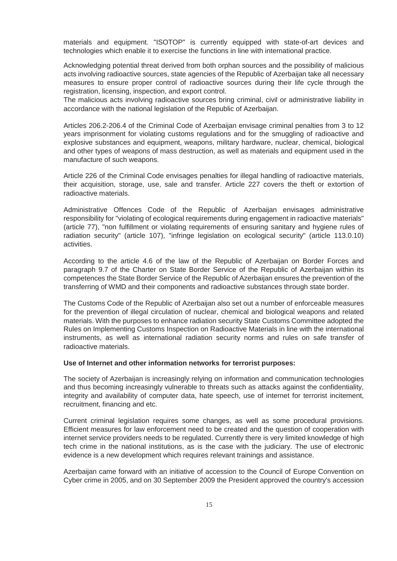materials and equipment. "ISOTOP" is currently equipped with state-of-art devices and technologies which enable it to exercise the functions in line with international practice.

Acknowledging potential threat derived from both orphan sources and the possibility of malicious acts involving radioactive sources, state agencies of the Republic of Azerbaijan take all necessary measures to ensure proper control of radioactive sources during their life cycle through the registration, licensing, inspection, and export control.

The malicious acts involving radioactive sources bring criminal, civil or administrative liability in accordance with the national legislation of the Republic of Azerbaijan.

Articles 206.2-206.4 of the Criminal Code of Azerbaijan envisage criminal penalties from 3 to 12 years imprisonment for violating customs regulations and for the smuggling of radioactive and explosive substances and equipment, weapons, military hardware, nuclear, chemical, biological and other types of weapons of mass destruction, as well as materials and equipment used in the manufacture of such weapons.

Article 226 of the Criminal Code envisages penalties for illegal handling of radioactive materials, their acquisition, storage, use, sale and transfer. Article 227 covers the theft or extortion of radioactive materials.

Administrative Offences Code of the Republic of Azerbaijan envisages administrative responsibility for "violating of ecological requirements during engagement in radioactive materials" (article 77), "non fulfillment or violating requirements of ensuring sanitary and hygiene rules of radiation security" (article 107), "infringe legislation on ecological security" (article 113.0.10) activities.

According to the article 4.6 of the law of the Republic of Azerbaijan on Border Forces and paragraph 9.7 of the Charter on State Border Service of the Republic of Azerbaijan within its competences the State Border Service of the Republic of Azerbaijan ensures the prevention of the transferring of WMD and their components and radioactive substances through state border.

The Customs Code of the Republic of Azerbaijan also set out a number of enforceable measures for the prevention of illegal circulation of nuclear, chemical and biological weapons and related materials. With the purposes to enhance radiation security State Customs Committee adopted the Rules on Implementing Customs Inspection on Radioactive Materials in line with the international instruments, as well as international radiation security norms and rules on safe transfer of radioactive materials.

### **Use of Internet and other information networks for terrorist purposes:**

The society of Azerbaijan is increasingly relying on information and communication technologies and thus becoming increasingly vulnerable to threats such as attacks against the confidentiality, integrity and availability of computer data, hate speech, use of internet for terrorist incitement, recruitment, financing and etc.

Current criminal legislation requires some changes, as well as some procedural provisions. Efficient measures for law enforcement need to be created and the question of cooperation with internet service providers needs to be regulated. Currently there is very limited knowledge of high tech crime in the national institutions, as is the case with the judiciary. The use of electronic evidence is a new development which requires relevant trainings and assistance.

Azerbaijan came forward with an initiative of accession to the Council of Europe Convention on Cyber crime in 2005, and on 30 September 2009 the President approved the country's accession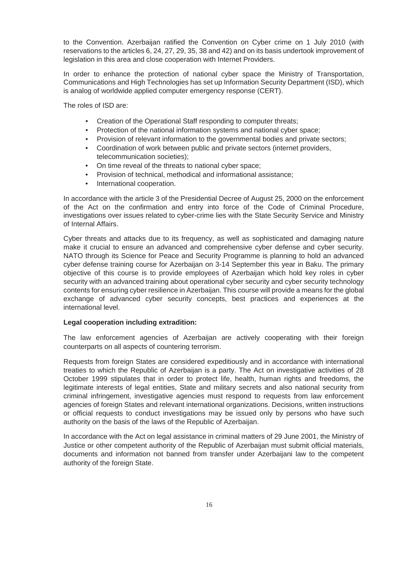to the Convention. Azerbaijan ratified the Convention on Cyber crime on 1 July 2010 (with reservations to the articles 6, 24, 27, 29, 35, 38 and 42) and on its basis undertook improvement of legislation in this area and close cooperation with Internet Providers.

In order to enhance the protection of national cyber space the Ministry of Transportation, Communications and High Technologies has set up Information Security Department (ISD), which is analog of worldwide applied computer emergency response (CERT).

The roles of ISD are:

- Creation of the Operational Staff responding to computer threats;
- Protection of the national information systems and national cyber space;
- Provision of relevant information to the governmental bodies and private sectors;
- Coordination of work between public and private sectors (internet providers, telecommunication societies);
- On time reveal of the threats to national cyber space;
- Provision of technical, methodical and informational assistance;
- International cooperation.

In accordance with the article 3 of the Presidential Decree of August 25, 2000 on the enforcement of the Act on the confirmation and entry into force of the Code of Criminal Procedure, investigations over issues related to cyber-crime lies with the State Security Service and Ministry of Internal Affairs.

Cyber threats and attacks due to its frequency, as well as sophisticated and damaging nature make it crucial to ensure an advanced and comprehensive cyber defense and cyber security. NATO through its Science for Peace and Security Programme is planning to hold an advanced cyber defense training course for Azerbaijan on 3-14 September this year in Baku. The primary objective of this course is to provide employees of Azerbaijan which hold key roles in cyber security with an advanced training about operational cyber security and cyber security technology contents for ensuring cyber resilience in Azerbaijan. This course will provide a means for the global exchange of advanced cyber security concepts, best practices and experiences at the international level.

## **Legal cooperation including extradition:**

The law enforcement agencies of Azerbaijan are actively cooperating with their foreign counterparts on all aspects of countering terrorism.

Requests from foreign States are considered expeditiously and in accordance with international treaties to which the Republic of Azerbaijan is a party. The Act on investigative activities of 28 October 1999 stipulates that in order to protect life, health, human rights and freedoms, the legitimate interests of legal entities, State and military secrets and also national security from criminal infringement, investigative agencies must respond to requests from law enforcement agencies of foreign States and relevant international organizations. Decisions, written instructions or official requests to conduct investigations may be issued only by persons who have such authority on the basis of the laws of the Republic of Azerbaijan.

In accordance with the Act on legal assistance in criminal matters of 29 June 2001, the Ministry of Justice or other competent authority of the Republic of Azerbaijan must submit official materials, documents and information not banned from transfer under Azerbaijani law to the competent authority of the foreign State.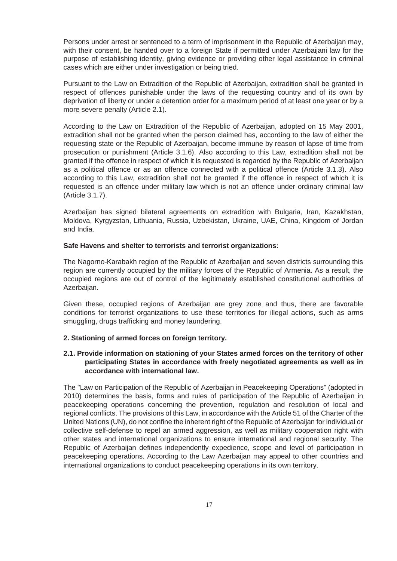Persons under arrest or sentenced to a term of imprisonment in the Republic of Azerbaijan may, with their consent, be handed over to a foreign State if permitted under Azerbaijani law for the purpose of establishing identity, giving evidence or providing other legal assistance in criminal cases which are either under investigation or being tried.

Pursuant to the Law on Extradition of the Republic of Azerbaijan, extradition shall be granted in respect of offences punishable under the laws of the requesting country and of its own by deprivation of liberty or under a detention order for a maximum period of at least one year or by a more severe penalty (Article 2.1).

According to the Law on Extradition of the Republic of Azerbaijan, adopted on 15 May 2001, extradition shall not be granted when the person claimed has, according to the law of either the requesting state or the Republic of Azerbaijan, become immune by reason of lapse of time from prosecution or punishment (Article 3.1.6). Also according to this Law, extradition shall not be granted if the offence in respect of which it is requested is regarded by the Republic of Azerbaijan as a political offence or as an offence connected with a political offence (Article 3.1.3). Also according to this Law, extradition shall not be granted if the offence in respect of which it is requested is an offence under military law which is not an offence under ordinary criminal law (Article 3.1.7).

Azerbaijan has signed bilateral agreements on extradition with Bulgaria, Iran, Kazakhstan, Moldova, Kyrgyzstan, Lithuania, Russia, Uzbekistan, Ukraine, UAE, China, Kingdom of Jordan and India.

### **Safe Havens and shelter to terrorists and terrorist organizations:**

The Nagorno-Karabakh region of the Republic of Azerbaijan and seven districts surrounding this region are currently occupied by the military forces of the Republic of Armenia. As a result, the occupied regions are out of control of the legitimately established constitutional authorities of Azerbaijan.

Given these, occupied regions of Azerbaijan are grey zone and thus, there are favorable conditions for terrorist organizations to use these territories for illegal actions, such as arms smuggling, drugs trafficking and money laundering.

## **2. Stationing of armed forces on foreign territory.**

## **2.1. Provide information on stationing of your States armed forces on the territory of other participating States in accordance with freely negotiated agreements as well as in accordance with international law.**

The "Law on Participation of the Republic of Azerbaijan in Peacekeeping Operations" (adopted in 2010) determines the basis, forms and rules of participation of the Republic of Azerbaijan in peacekeeping operations concerning the prevention, regulation and resolution of local and regional conflicts. The provisions of this Law, in accordance with the Article 51 of the Charter of the United Nations (UN), do not confine the inherent right of the Republic of Azerbaijan for individual or collective self-defense to repel an armed aggression, as well as military cooperation right with other states and international organizations to ensure international and regional security. The Republic of Azerbaijan defines independently expedience, scope and level of participation in peacekeeping operations. According to the Law Azerbaijan may appeal to other countries and international organizations to conduct peacekeeping operations in its own territory.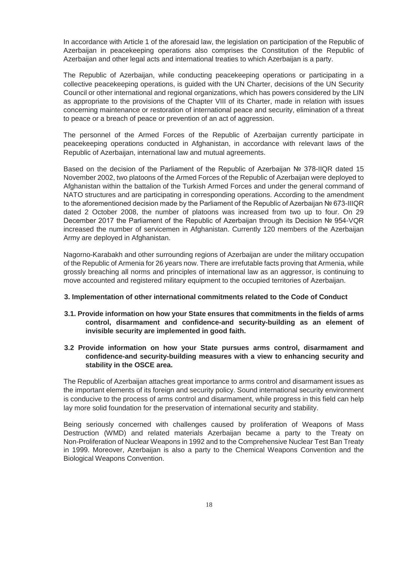In accordance with Article 1 of the aforesaid law, the legislation on participation of the Republic of Azerbaijan in peacekeeping operations also comprises the Constitution of the Republic of Azerbaijan and other legal acts and international treaties to which Azerbaijan is a party.

The Republic of Azerbaijan, while conducting peacekeeping operations or participating in a collective peacekeeping operations, is guided with the UN Charter, decisions of the UN Security Council or other international and regional organizations, which has powers considered by the LIN as appropriate to the provisions of the Chapter VIII of its Charter, made in relation with issues concerning maintenance or restoration of international peace and security, elimination of a threat to peace or a breach of peace or prevention of an act of aggression.

The personnel of the Armed Forces of the Republic of Azerbaijan currently participate in peacekeeping operations conducted in Afghanistan, in accordance with relevant laws of the Republic of Azerbaijan, international law and mutual agreements.

Based on the decision of the Parliament of the Republic of Azerbaijan  $N<sub>2</sub>$  378-IIQR dated 15 November 2002, two platoons of the Armed Forces of the Republic of Azerbaijan were deployed to Afghanistan within the battalion of the Turkish Armed Forces and under the general command of NATO structures and are participating in corresponding operations. According to the amendment to the aforementioned decision made by the Parliament of the Republic of Azerbaijan  $N<sup>°</sup>$  673-IIIQR dated 2 October 2008, the number of platoons was increased from two up to four. On 29 December 2017 the Parliament of the Republic of Azerbaijan through its Decision Nº 954-VQR increased the number of servicemen in Afghanistan. Currently 120 members of the Azerbaijan Army are deployed in Afghanistan.

Nagorno-Karabakh and other surrounding regions of Azerbaijan are under the military occupation of the Republic of Armenia for 26 years now. There are irrefutable facts proving that Armenia, while grossly breaching all norms and principles of international law as an aggressor, is continuing to move accounted and registered military equipment to the occupied territories of Azerbaijan.

### **3. Implementation of other international commitments related to the Code of Conduct**

- **3.1. Provide information on how your State ensures that commitments in the fields of arms control, disarmament and confidence-and security-building as an element of invisible security are implemented in good faith.**
- **3.2 Provide information on how your State pursues arms control, disarmament and confidence-and security-building measures with a view to enhancing security and stability in the OSCE area.**

The Republic of Azerbaijan attaches great importance to arms control and disarmament issues as the important elements of its foreign and security policy. Sound international security environment is conducive to the process of arms control and disarmament, while progress in this field can help lay more solid foundation for the preservation of international security and stability.

Being seriously concerned with challenges caused by proliferation of Weapons of Mass Destruction (WMD) and related materials Azerbaijan became a party to the Treaty on Non-Proliferation of Nuclear Weapons in 1992 and to the Comprehensive Nuclear Test Ban Treaty in 1999. Moreover, Azerbaijan is also a party to the Chemical Weapons Convention and the Biological Weapons Convention.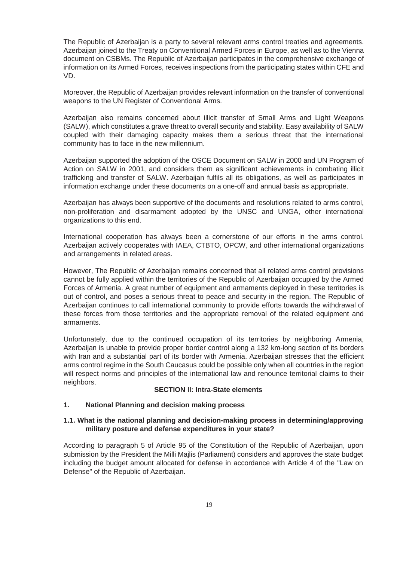The Republic of Azerbaijan is a party to several relevant arms control treaties and agreements. Azerbaijan joined to the Treaty on Conventional Armed Forces in Europe, as well as to the Vienna document on CSBMs. The Republic of Azerbaijan participates in the comprehensive exchange of information on its Armed Forces, receives inspections from the participating states within CFE and VD.

Moreover, the Republic of Azerbaijan provides relevant information on the transfer of conventional weapons to the UN Register of Conventional Arms.

Azerbaijan also remains concerned about illicit transfer of Small Arms and Light Weapons (SALW), which constitutes a grave threat to overall security and stability. Easy availability of SALW coupled with their damaging capacity makes them a serious threat that the international community has to face in the new millennium.

Azerbaijan supported the adoption of the OSCE Document on SALW in 2000 and UN Program of Action on SALW in 2001, and considers them as significant achievements in combating illicit trafficking and transfer of SALW. Azerbaijan fulfils all its obligations, as well as participates in information exchange under these documents on a one-off and annual basis as appropriate.

Azerbaijan has always been supportive of the documents and resolutions related to arms control, non-proliferation and disarmament adopted by the UNSC and UNGA, other international organizations to this end.

International cooperation has always been a cornerstone of our efforts in the arms control. Azerbaijan actively cooperates with IAEA, CTBTO, OPCW, and other international organizations and arrangements in related areas.

However, The Republic of Azerbaijan remains concerned that all related arms control provisions cannot be fully applied within the territories of the Republic of Azerbaijan occupied by the Armed Forces of Armenia. A great number of equipment and armaments deployed in these territories is out of control, and poses a serious threat to peace and security in the region. The Republic of Azerbaijan continues to call international community to provide efforts towards the withdrawal of these forces from those territories and the appropriate removal of the related equipment and armaments.

Unfortunately, due to the continued occupation of its territories by neighboring Armenia, Azerbaijan is unable to provide proper border control along a 132 km-long section of its borders with Iran and a substantial part of its border with Armenia. Azerbaijan stresses that the efficient arms control regime in the South Caucasus could be possible only when all countries in the region will respect norms and principles of the international law and renounce territorial claims to their neighbors.

# **SECTION II: Intra-State elements**

#### **1. National Planning and decision making process**

## **1.1. What is the national planning and decision-making process in determining/approving military posture and defense expenditures in your state?**

According to paragraph 5 of Article 95 of the Constitution of the Republic of Azerbaijan, upon submission by the President the Milli Majlis (Parliament) considers and approves the state budget including the budget amount allocated for defense in accordance with Article 4 of the "Law on Defense" of the Republic of Azerbaijan.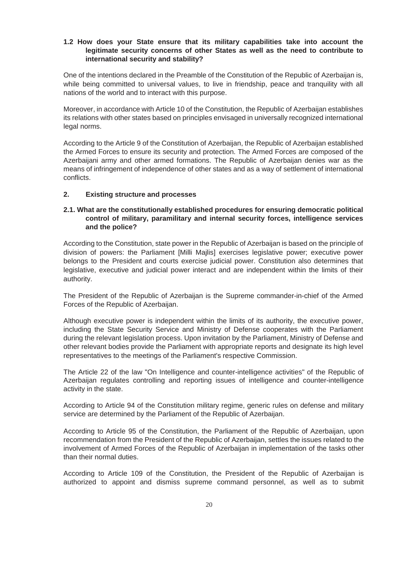### **1.2 How does your State ensure that its military capabilities take into account the legitimate security concerns of other States as well as the need to contribute to international security and stability?**

One of the intentions declared in the Preamble of the Constitution of the Republic of Azerbaijan is, while being committed to universal values, to live in friendship, peace and tranquility with all nations of the world and to interact with this purpose.

Moreover, in accordance with Article 10 of the Constitution, the Republic of Azerbaijan establishes its relations with other states based on principles envisaged in universally recognized international legal norms.

According to the Article 9 of the Constitution of Azerbaijan, the Republic of Azerbaijan established the Armed Forces to ensure its security and protection. The Armed Forces are composed of the Azerbaijani army and other armed formations. The Republic of Azerbaijan denies war as the means of infringement of independence of other states and as a way of settlement of international conflicts.

#### **2. Existing structure and processes**

# **2.1. What are the constitutionally established procedures for ensuring democratic political control of military, paramilitary and internal security forces, intelligence services and the police?**

According to the Constitution, state power in the Republic of Azerbaijan is based on the principle of division of powers: the Parliament [Milli Majlis] exercises legislative power; executive power belongs to the President and courts exercise judicial power. Constitution also determines that legislative, executive and judicial power interact and are independent within the limits of their authority.

The President of the Republic of Azerbaijan is the Supreme commander-in-chief of the Armed Forces of the Republic of Azerbaijan.

Although executive power is independent within the limits of its authority, the executive power, including the State Security Service and Ministry of Defense cooperates with the Parliament during the relevant legislation process. Upon invitation by the Parliament, Ministry of Defense and other relevant bodies provide the Parliament with appropriate reports and designate its high level representatives to the meetings of the Parliament's respective Commission.

The Article 22 of the law "On Intelligence and counter-intelligence activities" of the Republic of Azerbaijan regulates controlling and reporting issues of intelligence and counter-intelligence activity in the state.

According to Article 94 of the Constitution military regime, generic rules on defense and military service are determined by the Parliament of the Republic of Azerbaijan.

According to Article 95 of the Constitution, the Parliament of the Republic of Azerbaijan, upon recommendation from the President of the Republic of Azerbaijan, settles the issues related to the involvement of Armed Forces of the Republic of Azerbaijan in implementation of the tasks other than their normal duties.

According to Article 109 of the Constitution, the President of the Republic of Azerbaijan is authorized to appoint and dismiss supreme command personnel, as well as to submit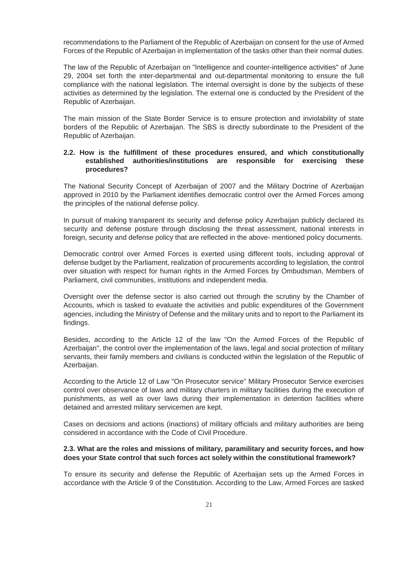recommendations to the Parliament of the Republic of Azerbaijan on consent for the use of Armed Forces of the Republic of Azerbaijan in implementation of the tasks other than their normal duties.

The law of the Republic of Azerbaijan on "Intelligence and counter-intelligence activities" of June 29, 2004 set forth the inter-departmental and out-departmental monitoring to ensure the full compliance with the national legislation. The internal oversight is done by the subjects of these activities as determined by the legislation. The external one is conducted by the President of the Republic of Azerbaijan.

The main mission of the State Border Service is to ensure protection and inviolability of state borders of the Republic of Azerbaijan. The SBS is directly subordinate to the President of the Republic of Azerbaijan.

### **2.2. How is the fulfillment of these procedures ensured, and which constitutionally established authorities/institutions are responsible for exercising these procedures?**

The National Security Concept of Azerbaijan of 2007 and the Military Doctrine of Azerbaijan approved in 2010 by the Parliament identifies democratic control over the Armed Forces among the principles of the national defense policy.

In pursuit of making transparent its security and defense policy Azerbaijan publicly declared its security and defense posture through disclosing the threat assessment, national interests in foreign, security and defense policy that are reflected in the above- mentioned policy documents.

Democratic control over Armed Forces is exerted using different tools, including approval of defense budget by the Parliament, realization of procurements according to legislation, the control over situation with respect for human rights in the Armed Forces by Ombudsman, Members of Parliament, civil communities, institutions and independent media.

Oversight over the defense sector is also carried out through the scrutiny by the Chamber of Accounts, which is tasked to evaluate the activities and public expenditures of the Government agencies, including the Ministry of Defense and the military units and to report to the Parliament its findings.

Besides, according to the Article 12 of the law "On the Armed Forces of the Republic of Azerbaijan", the control over the implementation of the laws, legal and social protection of military servants, their family members and civilians is conducted within the legislation of the Republic of Azerbaijan.

According to the Article 12 of Law "On Prosecutor service" Military Prosecutor Service exercises control over observance of laws and military charters in military facilities during the execution of punishments, as well as over laws during their implementation in detention facilities where detained and arrested military servicemen are kept.

Cases on decisions and actions (inactions) of military officials and military authorities are being considered in accordance with the Code of Civil Procedure.

## **2.3. What are the roles and missions of military, paramilitary and security forces, and how does your State control that such forces act solely within the constitutional framework?**

To ensure its security and defense the Republic of Azerbaijan sets up the Armed Forces in accordance with the Article 9 of the Constitution. According to the Law, Armed Forces are tasked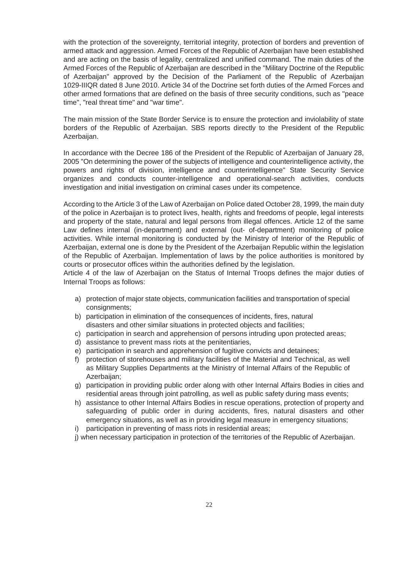with the protection of the sovereignty, territorial integrity, protection of borders and prevention of armed attack and aggression. Armed Forces of the Republic of Azerbaijan have been established and are acting on the basis of legality, centralized and unified command. The main duties of the Armed Forces of the Republic of Azerbaijan are described in the "Military Doctrine of the Republic of Azerbaijan" approved by the Decision of the Parliament of the Republic of Azerbaijan 1029-IIIQR dated 8 June 2010. Article 34 of the Doctrine set forth duties of the Armed Forces and other armed formations that are defined on the basis of three security conditions, such as "peace time", "real threat time" and "war time".

The main mission of the State Border Service is to ensure the protection and inviolability of state borders of the Republic of Azerbaijan. SBS reports directly to the President of the Republic Azerbaijan.

In accordance with the Decree 186 of the President of the Republic of Azerbaijan of January 28, 2005 "On determining the power of the subjects of intelligence and counterintelligence activity, the powers and rights of division, intelligence and counterintelligence" State Security Service organizes and conducts counter-intelligence and operational-search activities, conducts investigation and initial investigation on criminal cases under its competence.

According to the Article 3 of the Law of Azerbaijan on Police dated October 28, 1999, the main duty of the police in Azerbaijan is to protect lives, health, rights and freedoms of people, legal interests and property of the state, natural and legal persons from illegal offences. Article 12 of the same Law defines internal (in-department) and external (out- of-department) monitoring of police activities. While internal monitoring is conducted by the Ministry of Interior of the Republic of Azerbaijan, external one is done by the President of the Azerbaijan Republic within the legislation of the Republic of Azerbaijan. Implementation of laws by the police authorities is monitored by courts or prosecutor offices within the authorities defined by the legislation.

Article 4 of the law of Azerbaijan on the Status of Internal Troops defines the major duties of Internal Troops as follows:

- a) protection of major state objects, communication facilities and transportation of special consignments;
- b) participation in elimination of the consequences of incidents, fires, natural disasters and other similar situations in protected objects and facilities;
- c) participation in search and apprehension of persons intruding upon protected areas;
- d) assistance to prevent mass riots at the penitentiaries,
- e) participation in search and apprehension of fugitive convicts and detainees;
- f) protection of storehouses and military facilities of the Material and Technical, as well as Military Supplies Departments at the Ministry of Internal Affairs of the Republic of Azerbaijan;
- g) participation in providing public order along with other Internal Affairs Bodies in cities and residential areas through joint patrolling, as well as public safety during mass events;
- h) assistance to other Internal Affairs Bodies in rescue operations, protection of property and safeguarding of public order in during accidents, fires, natural disasters and other emergency situations, as well as in providing legal measure in emergency situations;
- i) participation in preventing of mass riots in residential areas;
- j) when necessary participation in protection of the territories of the Republic of Azerbaijan.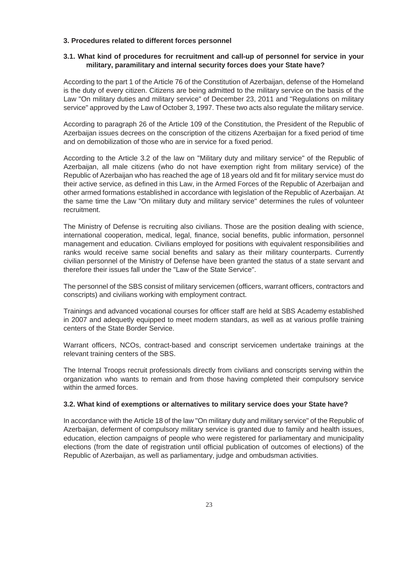### **3. Procedures related to different forces personnel**

## **3.1. What kind of procedures for recruitment and call-up of personnel for service in your military, paramilitary and internal security forces does your State have?**

According to the part 1 of the Article 76 of the Constitution of Azerbaijan, defense of the Homeland is the duty of every citizen. Citizens are being admitted to the military service on the basis of the Law "On military duties and military service" of December 23, 2011 and "Regulations on military service" approved by the Law of October 3, 1997. These two acts also regulate the military service.

According to paragraph 26 of the Article 109 of the Constitution, the President of the Republic of Azerbaijan issues decrees on the conscription of the citizens Azerbaijan for a fixed period of time and on demobilization of those who are in service for a fixed period.

According to the Article 3.2 of the law on "Military duty and military service" of the Republic of Azerbaijan, all male citizens (who do not have exemption right from military service) of the Republic of Azerbaijan who has reached the age of 18 years old and fit for military service must do their active service, as defined in this Law, in the Armed Forces of the Republic of Azerbaijan and other armed formations established in accordance with legislation of the Republic of Azerbaijan. At the same time the Law "On military duty and military service" determines the rules of volunteer recruitment.

The Ministry of Defense is recruiting also civilians. Those are the position dealing with science, international cooperation, medical, legal, finance, social benefits, public information, personnel management and education. Civilians employed for positions with equivalent responsibilities and ranks would receive same social benefits and salary as their military counterparts. Currently civilian personnel of the Ministry of Defense have been granted the status of a state servant and therefore their issues fall under the "Law of the State Service".

The personnel of the SBS consist of military servicemen (officers, warrant officers, contractors and conscripts) and civilians working with employment contract.

Trainings and advanced vocational courses for officer staff are held at SBS Academy established in 2007 and adequetly equipped to meet modern standars, as well as at various profile training centers of the State Border Service.

Warrant officers, NCOs, contract-based and conscript servicemen undertake trainings at the relevant training centers of the SBS.

The Internal Troops recruit professionals directly from civilians and conscripts serving within the organization who wants to remain and from those having completed their compulsory service within the armed forces.

## **3.2. What kind of exemptions or alternatives to military service does your State have?**

In accordance with the Article 18 of the law "On military duty and military service" of the Republic of Azerbaijan, deferment of compulsory military service is granted due to family and health issues, education, election campaigns of people who were registered for parliamentary and municipality elections (from the date of registration until official publication of outcomes of elections) of the Republic of Azerbaijan, as well as parliamentary, judge and ombudsman activities.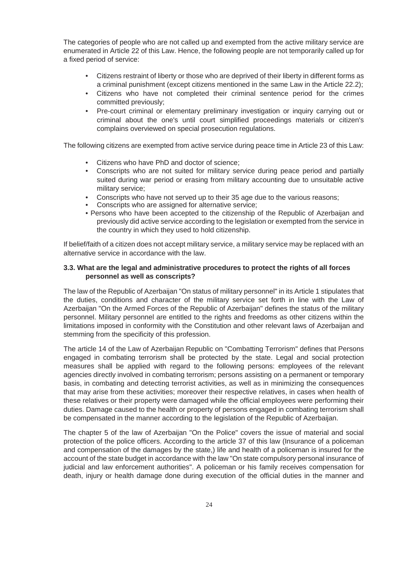The categories of people who are not called up and exempted from the active military service are enumerated in Article 22 of this Law. Hence, the following people are not temporarily called up for a fixed period of service:

- Citizens restraint of liberty or those who are deprived of their liberty in different forms as a criminal punishment (except citizens mentioned in the same Law in the Article 22.2);
- Citizens who have not completed their criminal sentence period for the crimes committed previously;
- Pre-court criminal or elementary preliminary investigation or inquiry carrying out or criminal about the one's until court simplified proceedings materials or citizen's complains overviewed on special prosecution regulations.

The following citizens are exempted from active service during peace time in Article 23 of this Law:

- Citizens who have PhD and doctor of science;
- Conscripts who are not suited for military service during peace period and partially suited during war period or erasing from military accounting due to unsuitable active military service;
- Conscripts who have not served up to their 35 age due to the various reasons;
- Conscripts who are assigned for alternative service;
- Persons who have been accepted to the citizenship of the Republic of Azerbaijan and previously did active service according to the legislation or exempted from the service in the country in which they used to hold citizenship.

If belief/faith of a citizen does not accept military service, a military service may be replaced with an alternative service in accordance with the law.

## **3.3. What are the legal and administrative procedures to protect the rights of all forces personnel as well as conscripts?**

The law of the Republic of Azerbaijan "On status of military personnel" in its Article 1 stipulates that the duties, conditions and character of the military service set forth in line with the Law of Azerbaijan "On the Armed Forces of the Republic of Azerbaijan" defines the status of the military personnel. Military personnel are entitled to the rights and freedoms as other citizens within the limitations imposed in conformity with the Constitution and other relevant laws of Azerbaijan and stemming from the specificity of this profession.

The article 14 of the Law of Azerbaijan Republic on "Combatting Terrorism" defines that Persons engaged in combating terrorism shall be protected by the state. Legal and social protection measures shall be applied with regard to the following persons: employees of the relevant agencies directly involved in combating terrorism; persons assisting on a permanent or temporary basis, in combating and detecting terrorist activities, as well as in minimizing the consequences that may arise from these activities; moreover their respective relatives, in cases when health of these relatives or their property were damaged while the official employees were performing their duties. Damage caused to the health or property of persons engaged in combating terrorism shall be compensated in the manner according to the legislation of the Republic of Azerbaijan.

The chapter 5 of the law of Azerbaijan "On the Police" covers the issue of material and social protection of the police officers. According to the article 37 of this law (Insurance of a policeman and compensation of the damages by the state,) life and health of a policeman is insured for the account of the state budget in accordance with the law "On state compulsory personal insurance of judicial and law enforcement authorities". A policeman or his family receives compensation for death, injury or health damage done during execution of the official duties in the manner and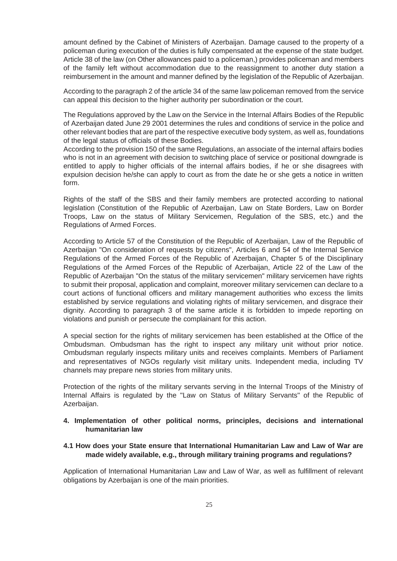amount defined by the Cabinet of Ministers of Azerbaijan. Damage caused to the property of a policeman during execution of the duties is fully compensated at the expense of the state budget. Article 38 of the law (on Other allowances paid to a policeman,) provides policeman and members of the family left without accommodation due to the reassignment to another duty station a reimbursement in the amount and manner defined by the legislation of the Republic of Azerbaijan.

According to the paragraph 2 of the article 34 of the same law policeman removed from the service can appeal this decision to the higher authority per subordination or the court.

The Regulations approved by the Law on the Service in the Internal Affairs Bodies of the Republic of Azerbaijan dated June 29 2001 determines the rules and conditions of service in the police and other relevant bodies that are part of the respective executive body system, as well as, foundations of the legal status of officials of these Bodies.

According to the provision 150 of the same Regulations, an associate of the internal affairs bodies who is not in an agreement with decision to switching place of service or positional downgrade is entitled to apply to higher officials of the internal affairs bodies, if he or she disagrees with expulsion decision he/she can apply to court as from the date he or she gets a notice in written form.

Rights of the staff of the SBS and their family members are protected according to national legislation (Constitution of the Republic of Azerbaijan, Law on State Borders, Law on Border Troops, Law on the status of Military Servicemen, Regulation of the SBS, etc.) and the Regulations of Armed Forces.

According to Article 57 of the Constitution of the Republic of Azerbaijan, Law of the Republic of Azerbaijan "On consideration of requests by citizens", Articles 6 and 54 of the Internal Service Regulations of the Armed Forces of the Republic of Azerbaijan, Chapter 5 of the Disciplinary Regulations of the Armed Forces of the Republic of Azerbaijan, Article 22 of the Law of the Republic of Azerbaijan "On the status of the military servicemen" military servicemen have rights to submit their proposal, application and complaint, moreover military servicemen can declare to a court actions of functional officers and military management authorities who excess the limits established by service regulations and violating rights of military servicemen, and disgrace their dignity. According to paragraph 3 of the same article it is forbidden to impede reporting on violations and punish or persecute the complainant for this action.

A special section for the rights of military servicemen has been established at the Office of the Ombudsman. Ombudsman has the right to inspect any military unit without prior notice. Ombudsman regularly inspects military units and receives complaints. Members of Parliament and representatives of NGOs regularly visit military units. Independent media, including TV channels may prepare news stories from military units.

Protection of the rights of the military servants serving in the Internal Troops of the Ministry of Internal Affairs is regulated by the "Law on Status of Military Servants" of the Republic of Azerbaijan.

## **4. Implementation of other political norms, principles, decisions and international humanitarian law**

## **4.1 How does your State ensure that International Humanitarian Law and Law of War are made widely available, e.g., through military training programs and regulations?**

Application of International Humanitarian Law and Law of War, as well as fulfillment of relevant obligations by Azerbaijan is one of the main priorities.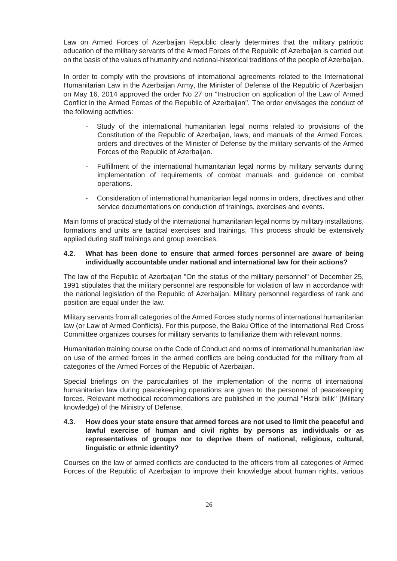Law on Armed Forces of Azerbaijan Republic clearly determines that the military patriotic education of the military servants of the Armed Forces of the Republic of Azerbaijan is carried out on the basis of the values of humanity and national-historical traditions of the people of Azerbaijan.

In order to comply with the provisions of international agreements related to the International Humanitarian Law in the Azerbaijan Army, the Minister of Defense of the Republic of Azerbaijan on May 16, 2014 approved the order No 27 on "Instruction on application of the Law of Armed Conflict in the Armed Forces of the Republic of Azerbaijan". The order envisages the conduct of the following activities:

- Study of the international humanitarian legal norms related to provisions of the Constitution of the Republic of Azerbaijan, laws, and manuals of the Armed Forces, orders and directives of the Minister of Defense by the military servants of the Armed Forces of the Republic of Azerbaijan.
- Fulfillment of the international humanitarian legal norms by military servants during implementation of requirements of combat manuals and guidance on combat operations.
- Consideration of international humanitarian legal norms in orders, directives and other service documentations on conduction of trainings, exercises and events.

Main forms of practical study of the international humanitarian legal norms by military installations, formations and units are tactical exercises and trainings. This process should be extensively applied during staff trainings and group exercises.

## **4.2. What has been done to ensure that armed forces personnel are aware of being individually accountable under national and international law for their actions?**

The law of the Republic of Azerbaijan "On the status of the military personnel" of December 25, 1991 stipulates that the military personnel are responsible for violation of law in accordance with the national legislation of the Republic of Azerbaijan. Military personnel regardless of rank and position are equal under the law.

Military servants from all categories of the Armed Forces study norms of international humanitarian law (or Law of Armed Conflicts). For this purpose, the Baku Office of the International Red Cross Committee organizes courses for military servants to familiarize them with relevant norms.

Humanitarian training course on the Code of Conduct and norms of international humanitarian law on use of the armed forces in the armed conflicts are being conducted for the military from all categories of the Armed Forces of the Republic of Azerbaijan.

Special briefings on the particularities of the implementation of the norms of international humanitarian law during peacekeeping operations are given to the personnel of peacekeeping forces. Relevant methodical recommendations are published in the journal "Hsrbi bilik" (Military knowledge) of the Ministry of Defense.

## **4.3. How does your state ensure that armed forces are not used to limit the peaceful and lawful exercise of human and civil rights by persons as individuals or as representatives of groups nor to deprive them of national, religious, cultural, linguistic or ethnic identity?**

Courses on the law of armed conflicts are conducted to the officers from all categories of Armed Forces of the Republic of Azerbaijan to improve their knowledge about human rights, various